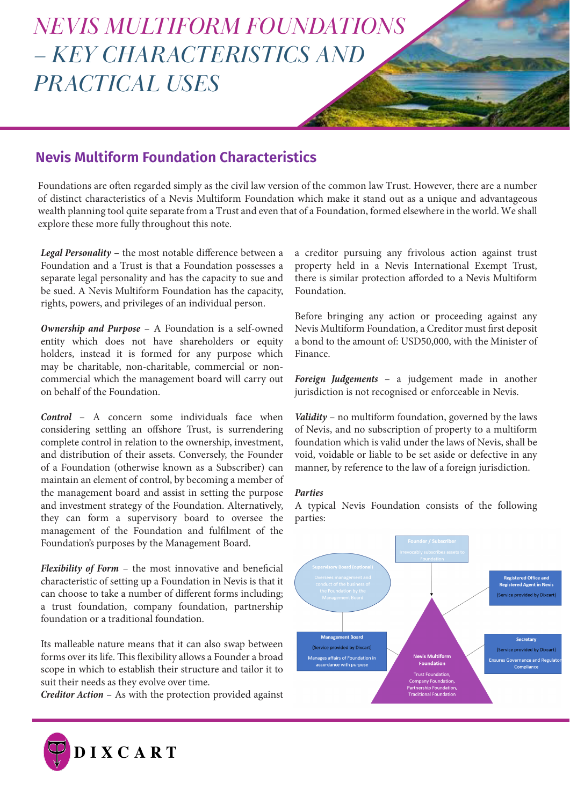# *NEVIS MULTIFORM FOUNDATIONS – KEY CHARACTERISTICS AND PRACTICAL USES*

## **Nevis Multiform Foundation Characteristics**

Foundations are often regarded simply as the civil law version of the common law Trust. However, there are a number of distinct characteristics of a Nevis Multiform Foundation which make it stand out as a unique and advantageous wealth planning tool quite separate from a Trust and even that of a Foundation, formed elsewhere in the world. We shall explore these more fully throughout this note.

*Legal Personality* – the most notable difference between a Foundation and a Trust is that a Foundation possesses a separate legal personality and has the capacity to sue and be sued. A Nevis Multiform Foundation has the capacity, rights, powers, and privileges of an individual person.

*Ownership and Purpose* – A Foundation is a self-owned entity which does not have shareholders or equity holders, instead it is formed for any purpose which may be charitable, non-charitable, commercial or noncommercial which the management board will carry out on behalf of the Foundation.

*Control* – A concern some individuals face when considering settling an offshore Trust, is surrendering complete control in relation to the ownership, investment, and distribution of their assets. Conversely, the Founder of a Foundation (otherwise known as a Subscriber) can maintain an element of control, by becoming a member of the management board and assist in setting the purpose and investment strategy of the Foundation. Alternatively, they can form a supervisory board to oversee the management of the Foundation and fulfilment of the Foundation's purposes by the Management Board.

*Flexibility of Form* – the most innovative and beneficial characteristic of setting up a Foundation in Nevis is that it can choose to take a number of different forms including; a trust foundation, company foundation, partnership foundation or a traditional foundation.

Its malleable nature means that it can also swap between forms over its life. This flexibility allows a Founder a broad scope in which to establish their structure and tailor it to suit their needs as they evolve over time.

*Creditor Action* – As with the protection provided against



Before bringing any action or proceeding against any Nevis Multiform Foundation, a Creditor must first deposit a bond to the amount of: USD50,000, with the Minister of Finance.

*Foreign Judgements* – a judgement made in another jurisdiction is not recognised or enforceable in Nevis.

*Validity* – no multiform foundation, governed by the laws of Nevis, and no subscription of property to a multiform foundation which is valid under the laws of Nevis, shall be void, voidable or liable to be set aside or defective in any manner, by reference to the law of a foreign jurisdiction.

#### *Parties*

A typical Nevis Foundation consists of the following parties: